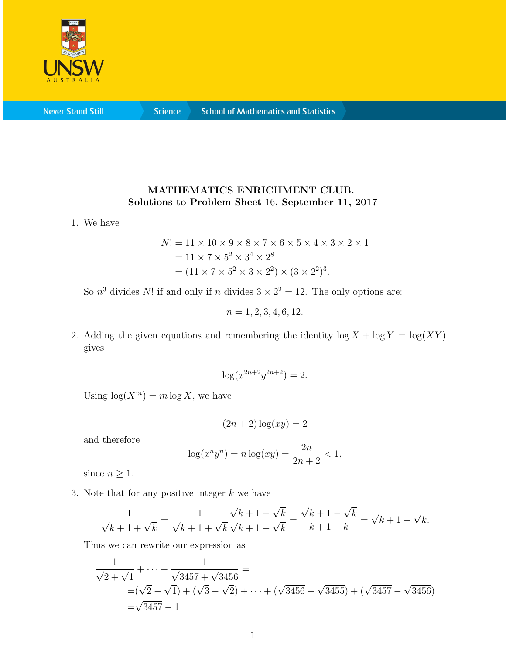

**Never Stand Still** 

**Science** 

## MATHEMATICS ENRICHMENT CLUB. Solutions to Problem Sheet 16, September 11, 2017

1. We have

$$
N! = 11 \times 10 \times 9 \times 8 \times 7 \times 6 \times 5 \times 4 \times 3 \times 2 \times 1
$$
  
= 11 \times 7 \times 5<sup>2</sup> \times 3<sup>4</sup> \times 2<sup>8</sup>  
= (11 \times 7 \times 5<sup>2</sup> \times 3 \times 2<sup>2</sup>) \times (3 \times 2<sup>2</sup>)<sup>3</sup>.

So  $n^3$  divides N! if and only if n divides  $3 \times 2^2 = 12$ . The only options are:

$$
n = 1, 2, 3, 4, 6, 12.
$$

2. Adding the given equations and remembering the identity  $\log X + \log Y = \log(XY)$ gives

$$
\log(x^{2n+2}y^{2n+2}) = 2.
$$

Using  $\log(X^m) = m \log X$ , we have

$$
(2n+2)\log(xy) = 2
$$

and therefore

$$
\log(x^n y^n) = n \log(xy) = \frac{2n}{2n+2} < 1,
$$

since  $n \geq 1$ .

3. Note that for any positive integer  $k$  we have

$$
\frac{1}{\sqrt{k+1} + \sqrt{k}} = \frac{1}{\sqrt{k+1} + \sqrt{k}} \frac{\sqrt{k+1} - \sqrt{k}}{\sqrt{k+1} - \sqrt{k}} = \frac{\sqrt{k+1} - \sqrt{k}}{k+1-k} = \sqrt{k+1} - \sqrt{k}.
$$

Thus we can rewrite our expression as

$$
\frac{1}{\sqrt{2} + \sqrt{1}} + \dots + \frac{1}{\sqrt{3457} + \sqrt{3456}} =
$$
  
=  $(\sqrt{2} - \sqrt{1}) + (\sqrt{3} - \sqrt{2}) + \dots + (\sqrt{3456} - \sqrt{3455}) + (\sqrt{3457} - \sqrt{3456})$   
=  $\sqrt{3457} - 1$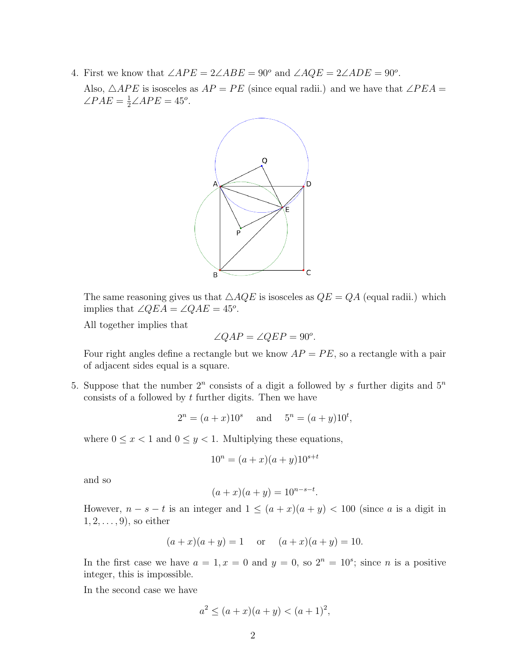4. First we know that  $\angle APE = 2\angle ABE = 90^{\circ}$  and  $\angle AQE = 2\angle ADE = 90^{\circ}$ .

Also,  $\triangle APE$  is isosceles as  $AP = PE$  (since equal radii.) and we have that  $\angle PEA =$  $\angle PAE = \frac{1}{2} \angle APE = 45^{\circ}.$ 



The same reasoning gives us that  $\triangle AQE$  is isosceles as  $QE = QA$  (equal radii.) which implies that  $\angle QEA = \angle QAE = 45^o$ .

All together implies that

$$
\angle QAP = \angle QEP = 90^o.
$$

Four right angles define a rectangle but we know  $AP = PE$ , so a rectangle with a pair of adjacent sides equal is a square.

5. Suppose that the number  $2^n$  consists of a digit a followed by s further digits and  $5^n$ consists of a followed by  $t$  further digits. Then we have

$$
2^n = (a+x)10^s
$$
 and  $5^n = (a+y)10^t$ ,

where  $0 \leq x < 1$  and  $0 \leq y < 1$ . Multiplying these equations,

$$
10^n = (a+x)(a+y)10^{s+t}
$$

and so

$$
(a+x)(a+y) = 10^{n-s-t}.
$$

However,  $n - s - t$  is an integer and  $1 \leq (a + x)(a + y) < 100$  (since a is a digit in  $1, 2, \ldots, 9$ , so either

$$
(a+x)(a+y) = 1
$$
 or  $(a+x)(a+y) = 10$ .

In the first case we have  $a = 1, x = 0$  and  $y = 0$ , so  $2^n = 10^s$ ; since *n* is a positive integer, this is impossible.

In the second case we have

$$
a^2 \le (a+x)(a+y) < (a+1)^2
$$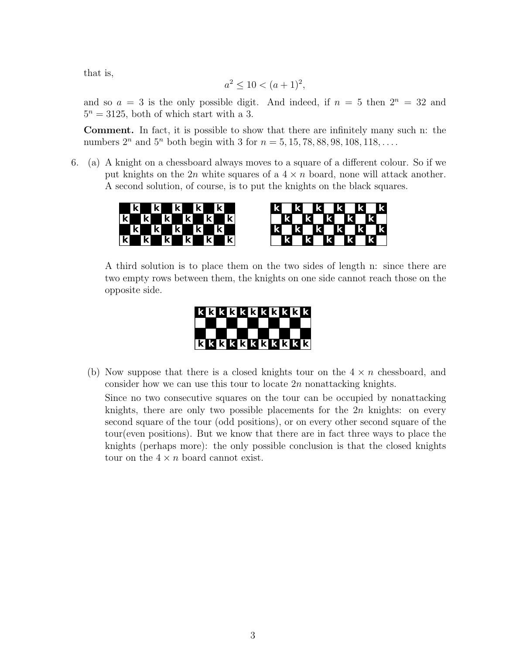that is,

$$
a^2 \le 10 < (a+1)^2
$$

and so  $a = 3$  is the only possible digit. And indeed, if  $n = 5$  then  $2^n = 32$  and  $5^n = 3125$ , both of which start with a 3.

Comment. In fact, it is possible to show that there are infinitely many such n: the numbers  $2^n$  and  $5^n$  both begin with 3 for  $n = 5, 15, 78, 88, 98, 108, 118, \ldots$ .

6. (a) A knight on a chessboard always moves to a square of a different colour. So if we put knights on the 2n white squares of a  $4 \times n$  board, none will attack another. A second solution, of course, is to put the knights on the black squares.





A third solution is to place them on the two sides of length n: since there are two empty rows between them, the knights on one side cannot reach those on the opposite side.



(b) Now suppose that there is a closed knights tour on the  $4 \times n$  chessboard, and consider how we can use this tour to locate  $2n$  nonattacking knights.

Since no two consecutive squares on the tour can be occupied by nonattacking knights, there are only two possible placements for the  $2n$  knights: on every second square of the tour (odd positions), or on every other second square of the tour(even positions). But we know that there are in fact three ways to place the knights (perhaps more): the only possible conclusion is that the closed knights tour on the  $4 \times n$  board cannot exist.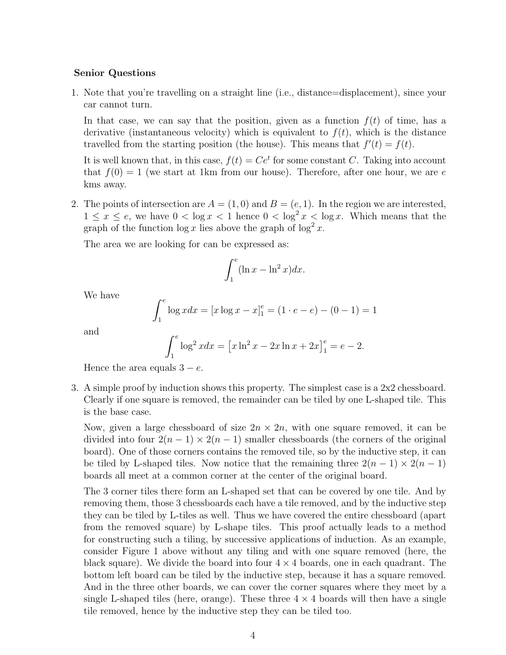## Senior Questions

1. Note that you're travelling on a straight line (i.e., distance=displacement), since your car cannot turn.

In that case, we can say that the position, given as a function  $f(t)$  of time, has a derivative (instantaneous velocity) which is equivalent to  $f(t)$ , which is the distance travelled from the starting position (the house). This means that  $f'(t) = f(t)$ .

It is well known that, in this case,  $f(t) = Ce^{t}$  for some constant C. Taking into account that  $f(0) = 1$  (we start at 1km from our house). Therefore, after one hour, we are e kms away.

2. The points of intersection are  $A = (1,0)$  and  $B = (e,1)$ . In the region we are interested,  $1 \leq x \leq e$ , we have  $0 < \log x < 1$  hence  $0 < \log^2 x < \log x$ . Which means that the graph of the function  $\log x$  lies above the graph of  $\log^2 x$ .

The area we are looking for can be expressed as:

$$
\int_{1}^{e} (\ln x - \ln^{2} x) dx.
$$

We have

$$
\int_{1}^{e} \log x dx = [x \log x - x]_{1}^{e} = (1 \cdot e - e) - (0 - 1) = 1
$$

and

$$
\int_{1}^{e} \log^{2} x dx = \left[ x \ln^{2} x - 2x \ln x + 2x \right]_{1}^{e} = e - 2.
$$

Hence the area equals  $3 - e$ .

3. A simple proof by induction shows this property. The simplest case is a 2x2 chessboard. Clearly if one square is removed, the remainder can be tiled by one L-shaped tile. This is the base case.

Now, given a large chessboard of size  $2n \times 2n$ , with one square removed, it can be divided into four  $2(n-1) \times 2(n-1)$  smaller chessboards (the corners of the original board). One of those corners contains the removed tile, so by the inductive step, it can be tiled by L-shaped tiles. Now notice that the remaining three  $2(n-1) \times 2(n-1)$ boards all meet at a common corner at the center of the original board.

The 3 corner tiles there form an L-shaped set that can be covered by one tile. And by removing them, those 3 chessboards each have a tile removed, and by the inductive step they can be tiled by L-tiles as well. Thus we have covered the entire chessboard (apart from the removed square) by L-shape tiles. This proof actually leads to a method for constructing such a tiling, by successive applications of induction. As an example, consider Figure 1 above without any tiling and with one square removed (here, the black square). We divide the board into four  $4 \times 4$  boards, one in each quadrant. The bottom left board can be tiled by the inductive step, because it has a square removed. And in the three other boards, we can cover the corner squares where they meet by a single L-shaped tiles (here, orange). These three  $4 \times 4$  boards will then have a single tile removed, hence by the inductive step they can be tiled too.